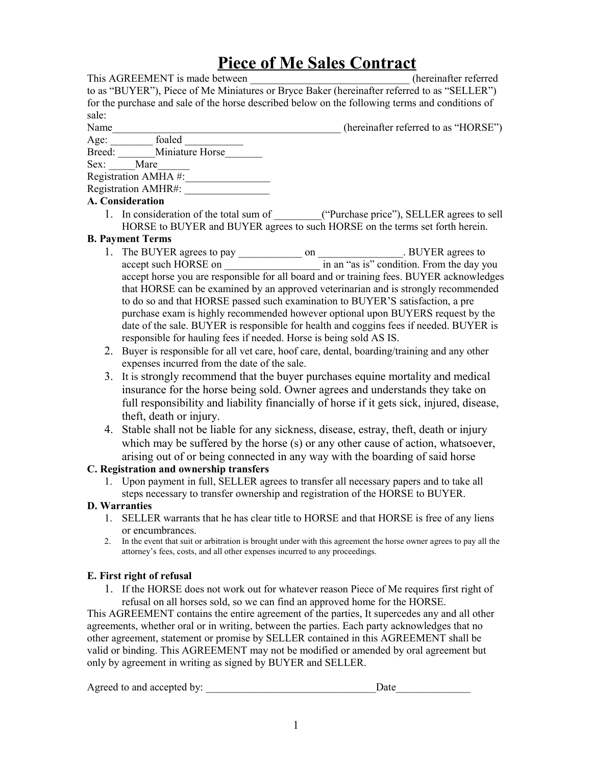# **Piece of Me Sales Contract**

| This AGREEMENT is made between                                                                  | (hereinafter referred                |
|-------------------------------------------------------------------------------------------------|--------------------------------------|
| to as "BUYER"), Piece of Me Miniatures or Bryce Baker (hereinafter referred to as "SELLER")     |                                      |
| for the purchase and sale of the horse described below on the following terms and conditions of |                                      |
| sale:                                                                                           |                                      |
| <b>Name</b>                                                                                     | (hereinafter referred to as "HORSE") |

Age: foaled  $\overline{a}$ Breed: Miniature Horse

| DICCU. | миниаци |
|--------|---------|
| Sex:   | Mare    |

Registration AMHA #:

Registration AMHR#:

### **A. Consideration**

1. In consideration of the total sum of \_\_\_\_\_\_\_\_\_("Purchase price"), SELLER agrees to sell HORSE to BUYER and BUYER agrees to such HORSE on the terms set forth herein.

### **B. Payment Terms**

- 1. The BUYER agrees to pay on BUYER agrees to accept such HORSE on  $\qquad$  in an "as is" condition. From the day you accept horse you are responsible for all board and or training fees. BUYER acknowledges that HORSE can be examined by an approved veterinarian and is strongly recommended to do so and that HORSE passed such examination to BUYER'S satisfaction, a pre purchase exam is highly recommended however optional upon BUYERS request by the date of the sale. BUYER is responsible for health and coggins fees if needed. BUYER is responsible for hauling fees if needed. Horse is being sold AS IS.
- 2. Buyer is responsible for all vet care, hoof care, dental, boarding/training and any other expenses incurred from the date of the sale.
- 3. It is strongly recommend that the buyer purchases equine mortality and medical insurance for the horse being sold. Owner agrees and understands they take on full responsibility and liability financially of horse if it gets sick, injured, disease, theft, death or injury.
- 4. Stable shall not be liable for any sickness, disease, estray, theft, death or injury which may be suffered by the horse (s) or any other cause of action, whatsoever, arising out of or being connected in any way with the boarding of said horse

# **C. Registration and ownership transfers**

1. Upon payment in full, SELLER agrees to transfer all necessary papers and to take all steps necessary to transfer ownership and registration of the HORSE to BUYER.

# **D. Warranties**

- 1. SELLER warrants that he has clear title to HORSE and that HORSE is free of any liens or encumbrances.
- 2. In the event that suit or arbitration is brought under with this agreement the horse owner agrees to pay all the attorney's fees, costs, and all other expenses incurred to any proceedings.

# **E. First right of refusal**

1. If the HORSE does not work out for whatever reason Piece of Me requires first right of refusal on all horses sold, so we can find an approved home for the HORSE.

This AGREEMENT contains the entire agreement of the parties, It supercedes any and all other agreements, whether oral or in writing, between the parties. Each party acknowledges that no other agreement, statement or promise by SELLER contained in this AGREEMENT shall be valid or binding. This AGREEMENT may not be modified or amended by oral agreement but only by agreement in writing as signed by BUYER and SELLER.

Agreed to and accepted by: \_\_\_\_\_\_\_\_\_\_\_\_\_\_\_\_\_\_\_\_\_\_\_\_\_\_\_\_\_\_\_\_Date\_\_\_\_\_\_\_\_\_\_\_\_\_\_